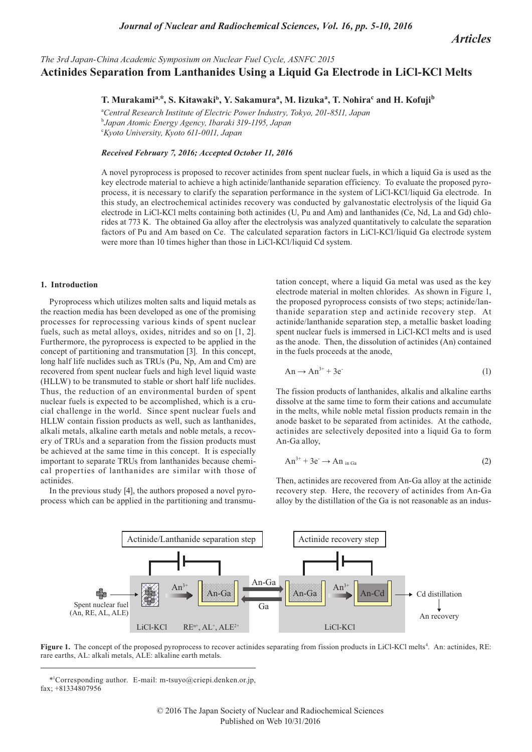*Articles*

# *The 3rd Japan-China Academic Symposium on Nuclear Fuel Cycle, ASNFC 2015* **Actinides Separation from Lanthanides Using a Liquid Ga Electrode in LiCl-KCl Melts**

 $\bf{T. Murakami^a,^*, S. Kitawaki^b, Y. Sakamura^a, M. Iizuka^a, T. Nohira^c and H. Kofuji^b$ 

<sup>a</sup>*Central Research Institute of Electric Power Industry, Tokyo, 201-8511, Japan* b *Japan Atomic Energy Agency, Ibaraki 319-1195, Japan* c *Kyoto University, Kyoto 611-0011, Japan*

## *Received February 7, 2016; Accepted October 11, 2016*

A novel pyroprocess is proposed to recover actinides from spent nuclear fuels, in which a liquid Ga is used as the key electrode material to achieve a high actinide/lanthanide separation efficiency. To evaluate the proposed pyroprocess, it is necessary to clarify the separation performance in the system of LiCl-KCl/liquid Ga electrode. In this study, an electrochemical actinides recovery was conducted by galvanostatic electrolysis of the liquid Ga electrode in LiCl-KCl melts containing both actinides (U, Pu and Am) and lanthanides (Ce, Nd, La and Gd) chlorides at 773 K. The obtained Ga alloy after the electrolysis was analyzed quantitatively to calculate the separation factors of Pu and Am based on Ce. The calculated separation factors in LiCl-KCl/liquid Ga electrode system were more than 10 times higher than those in LiCl-KCl/liquid Cd system.

#### **1. Introduction**

Pyroprocess which utilizes molten salts and liquid metals as the reaction media has been developed as one of the promising processes for reprocessing various kinds of spent nuclear fuels, such as metal alloys, oxides, nitrides and so on [1, 2]. Furthermore, the pyroprocess is expected to be applied in the concept of partitioning and transmutation [3]. In this concept, long half life nuclides such as TRUs (Pu, Np, Am and Cm) are recovered from spent nuclear fuels and high level liquid waste (HLLW) to be transmuted to stable or short half life nuclides. Thus, the reduction of an environmental burden of spent nuclear fuels is expected to be accomplished, which is a crucial challenge in the world. Since spent nuclear fuels and HLLW contain fission products as well, such as lanthanides, alkali metals, alkaline earth metals and noble metals, a recovery of TRUs and a separation from the fission products must be achieved at the same time in this concept. It is especially important to separate TRUs from lanthanides because chemical properties of lanthanides are similar with those of actinides.

In the previous study [4], the authors proposed a novel pyroprocess which can be applied in the partitioning and transmutation concept, where a liquid Ga metal was used as the key electrode material in molten chlorides. As shown in Figure 1, the proposed pyroprocess consists of two steps; actinide/lanthanide separation step and actinide recovery step. At actinide/lanthanide separation step, a metallic basket loading spent nuclear fuels is immersed in LiCl-KCl melts and is used as the anode. Then, the dissolution of actinides (An) contained in the fuels proceeds at the anode,

$$
An \to An^{3+} + 3e \tag{1}
$$

The fission products of lanthanides, alkalis and alkaline earths dissolve at the same time to form their cations and accumulate in the melts, while noble metal fission products remain in the anode basket to be separated from actinides. At the cathode, actinides are selectively deposited into a liquid Ga to form An-Ga alloy,

$$
An^{3+} + 3e^- \to An_{inGa}
$$
 (2)

Then, actinides are recovered from An-Ga alloy at the actinide recovery step. Here, the recovery of actinides from An-Ga alloy by the distillation of the Ga is not reasonable as an indus-



Figure 1. The concept of the proposed pyroprocess to recover actinides separating from fission products in LiCl-KCl melts<sup>4</sup>. An: actinides, RE: rare earths, AL: alkali metals, ALE: alkaline earth metals.

<sup>\*1</sup> Corresponding author. E-mail: m-tsuyo@criepi.denken.or.jp, fax; +81334807956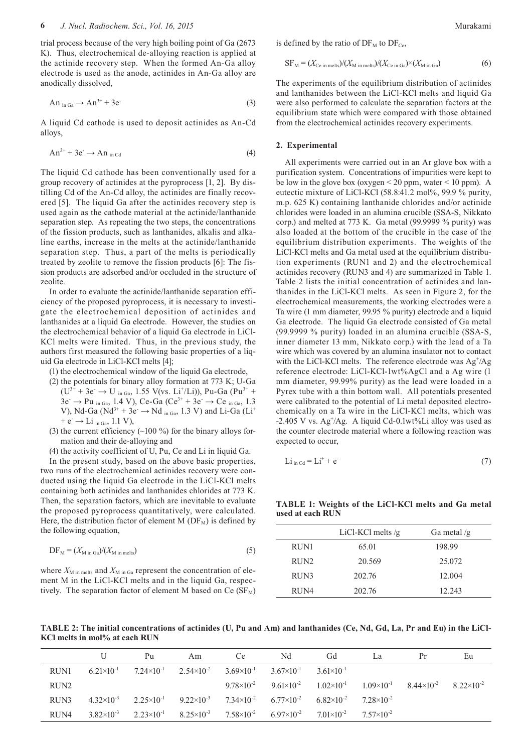trial process because of the very high boiling point of Ga (2673 K). Thus, electrochemical de-alloying reaction is applied at the actinide recovery step. When the formed An-Ga alloy electrode is used as the anode, actinides in An-Ga alloy are anodically dissolved,

$$
An_{in Ga} \to An^{3+} + 3e^{\cdot}
$$
 (3)

A liquid Cd cathode is used to deposit actinides as An-Cd alloys,

$$
An^{3+} + 3e^- \to An_{in\text{Cd}} \tag{4}
$$

The liquid Cd cathode has been conventionally used for a group recovery of actinides at the pyroprocess [1, 2]. By distilling Cd of the An-Cd alloy, the actinides are finally recovered [5]. The liquid Ga after the actinides recovery step is used again as the cathode material at the actinide/lanthanide separation step. As repeating the two steps, the concentrations of the fission products, such as lanthanides, alkalis and alkaline earths, increase in the melts at the actinide/lanthanide separation step. Thus, a part of the melts is periodically treated by zeolite to remove the fission products [6]: The fission products are adsorbed and/or occluded in the structure of zeolite.

In order to evaluate the actinide/lanthanide separation efficiency of the proposed pyroprocess, it is necessary to investigate the electrochemical deposition of actinides and lanthanides at a liquid Ga electrode. However, the studies on the electrochemical behavior of a liquid Ga electrode in LiCl-KCl melts were limited. Thus, in the previous study, the authors first measured the following basic properties of a liquid Ga electrode in LiCl-KCl melts [4];

(1) the electrochemical window of the liquid Ga electrode,

- (2) the potentials for binary alloy formation at 773 K; U-Ga  $(U^{3+} + 3e^- \rightarrow U_{in Ga}$ , 1.55 V(vs. Li<sup>+</sup>/Li)), Pu-Ga (Pu<sup>3+</sup> +  $3e^- \rightarrow Pu_{in Ga}$ , 1.4 V), Ce-Ga (Ce<sup>3+</sup> + 3e<sup>-</sup>  $\rightarrow$  Ce<sub>in Ga</sub>, 1.3 V), Nd-Ga (Nd<sup>3+</sup> + 3e<sup>-</sup>  $\rightarrow$  Nd <sub>in Ga</sub>, 1.3 V) and Li-Ga (Li<sup>+</sup>  $+ e^- \rightarrow Li_{in Ga}$ , 1.1 V),
- (3) the current efficiency  $(\sim]100\%$  for the binary alloys formation and their de-alloying and
- (4) the activity coefficient of U, Pu, Ce and Li in liquid Ga.

In the present study, based on the above basic properties, two runs of the electrochemical actinides recovery were conducted using the liquid Ga electrode in the LiCl-KCl melts containing both actinides and lanthanides chlorides at 773 K. Then, the separation factors, which are inevitable to evaluate the proposed pyroprocess quantitatively, were calculated. Here, the distribution factor of element M  $(DF_M)$  is defined by the following equation,

$$
DF_M = (X_{M \text{ in } Ga})/(X_{M \text{ in } m \text{ elts}})
$$
\n(5)

where  $X_{\text{M in melts}}$  and  $X_{\text{M in Ga}}$  represent the concentration of element M in the LiCl-KCl melts and in the liquid Ga, respectively. The separation factor of element M based on Ce  $(SF_M)$  is defined by the ratio of  $DF_M$  to  $DF_{Ce}$ ,

$$
SF_M = (X_{Ce\text{ in melts}})/(X_{M\text{ in melts}})/(X_{Ce\text{ in Ga}}) \times (X_{M\text{ in Ga}})
$$
(6)

The experiments of the equilibrium distribution of actinides and lanthanides between the LiCl-KCl melts and liquid Ga were also performed to calculate the separation factors at the equilibrium state which were compared with those obtained from the electrochemical actinides recovery experiments.

### **2. Experimental**

All experiments were carried out in an Ar glove box with a purification system. Concentrations of impurities were kept to be low in the glove box (oxygen  $\leq$  20 ppm, water  $\leq$  10 ppm). A eutectic mixture of LiCl-KCl (58.8:41.2 mol%, 99.9 % purity, m.p. 625 K) containing lanthanide chlorides and/or actinide chlorides were loaded in an alumina crucible (SSA-S, Nikkato corp.) and melted at 773 K. Ga metal (99.9999 % purity) was also loaded at the bottom of the crucible in the case of the equilibrium distribution experiments. The weights of the LiCl-KCl melts and Ga metal used at the equilibrium distribution experiments (RUN1 and 2) and the electrochemical actinides recovery (RUN3 and 4) are summarized in Table 1. Table 2 lists the initial concentration of actinides and lanthanides in the LiCl-KCl melts. As seen in Figure 2, for the electrochemical measurements, the working electrodes were a Ta wire (1 mm diameter, 99.95 % purity) electrode and a liquid Ga electrode. The liquid Ga electrode consisted of Ga metal (99.9999 % purity) loaded in an alumina crucible (SSA-S, inner diameter 13 mm, Nikkato corp.) with the lead of a Ta wire which was covered by an alumina insulator not to contact with the LiCl-KCl melts. The reference electrode was  $Ag^{\dagger}/Ag$ reference electrode: LiCl-KCl-1wt%AgCl and a Ag wire (1 mm diameter, 99.99% purity) as the lead were loaded in a Pyrex tube with a thin bottom wall. All potentials presented were calibrated to the potential of Li metal deposited electrochemically on a Ta wire in the LiCl-KCl melts, which was -2.405 V vs. Ag<sup>+</sup>/Ag. A liquid Cd-0.1wt%Li alloy was used as the counter electrode material where a following reaction was expected to occur,

$$
Li_{\text{in Cd}} = Li^+ + e^- \tag{7}
$$

**TABLE 1: Weights of the LiCl-KCl melts and Ga metal used at each RUN**

|                  | LiCl-KCl melts $/g$ | Ga metal $/g$ |
|------------------|---------------------|---------------|
| RUN1             | 65.01               | 198.99        |
| RUN <sub>2</sub> | 20.569              | 25.072        |
| RUN3             | 202.76              | 12.004        |
| RUN4             | 202.76              | 12.243        |

**TABLE 2: The initial concentrations of actinides (U, Pu and Am) and lanthanides (Ce, Nd, Gd, La, Pr and Eu) in the LiCl-KCl melts in mol% at each RUN**

|                  |                     | Pu                    | Am                    | Ce.                   | Nd                    | Gd                    | La                    | Pr                    | Eu                  |
|------------------|---------------------|-----------------------|-----------------------|-----------------------|-----------------------|-----------------------|-----------------------|-----------------------|---------------------|
| RUN1             | $6.21\times10^{-1}$ | $7.24\times10^{-1}$   | $2.54 \times 10^{-2}$ | $3.69\times10^{-1}$   | $3.67\times10^{-1}$   | $3.61\times10^{-1}$   |                       |                       |                     |
| RUN <sub>2</sub> |                     |                       |                       | $9.78 \times 10^{-2}$ | $9.61 \times 10^{-2}$ | $1.02\times10^{-1}$   | $1.09\times10^{-1}$   | $8.44 \times 10^{-2}$ | $8.22\times10^{-2}$ |
| RUN <sub>3</sub> | $4.32\times10^{-3}$ | $2.25 \times 10^{-1}$ | $9.22\times10^{-3}$   | $7.34\times10^{-2}$   | $6.77\times10^{-2}$   | $6.82\times10^{-2}$   | $7.28 \times 10^{-2}$ |                       |                     |
| RUN4             | $3.82\times10^{-3}$ | $2.23\times10^{-1}$   | $8.25 \times 10^{-3}$ | $7.58\times10^{-2}$   | $6.97\times10^{-2}$   | $7.01 \times 10^{-2}$ | $7.57\times10^{-2}$   |                       |                     |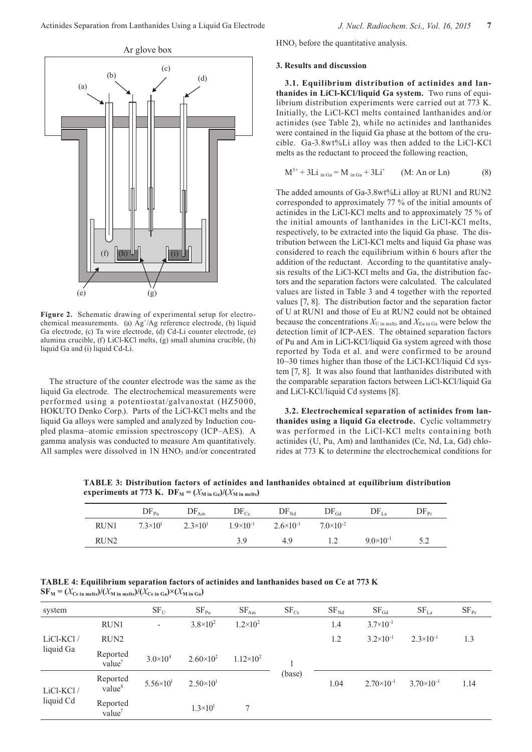

**Figure 2.** Schematic drawing of experimental setup for electrochemical measurements. (a)  $Ag^+/Ag$  reference electrode, (b) liquid Ga electrode, (c) Ta wire electrode, (d) Cd-Li counter electrode, (e) alumina crucible, (f) LiCl-KCl melts, (g) small alumina crucible, (h) liquid Ga and (i) liquid Cd-Li.

The structure of the counter electrode was the same as the liquid Ga electrode. The electrochemical measurements were performed using a potentiostat/galvanostat (HZ5000, HOKUTO Denko Corp.). Parts of the LiCl-KCl melts and the liquid Ga alloys were sampled and analyzed by Induction coupled plasma–atomic emission spectroscopy (ICP–AES). A gamma analysis was conducted to measure Am quantitatively. All samples were dissolved in  $1N HNO<sub>3</sub>$  and/or concentrated HNO3 before the quantitative analysis.

#### **3. Results and discussion**

**3.1. Equilibrium distribution of actinides and lanthanides in LiCl-KCl/liquid Ga system.** Two runs of equilibrium distribution experiments were carried out at 773 K. Initially, the LiCl-KCl melts contained lanthanides and/or actinides (see Table 2), while no actinides and lanthanides were contained in the liquid Ga phase at the bottom of the crucible. Ga-3.8wt%Li alloy was then added to the LiCl-KCl melts as the reductant to proceed the following reaction,

$$
M^{3+} + 3Li_{in Ga} = M_{in Ga} + 3Li^{+}
$$
 (M: An or Ln) (8)

The added amounts of Ga-3.8wt%Li alloy at RUN1 and RUN2 corresponded to approximately 77 % of the initial amounts of actinides in the LiCl-KCl melts and to approximately 75 % of the initial amounts of lanthanides in the LiCl-KCl melts, respectively, to be extracted into the liquid Ga phase. The distribution between the LiCl-KCl melts and liquid Ga phase was considered to reach the equilibrium within 6 hours after the addition of the reductant. According to the quantitative analysis results of the LiCl-KCl melts and Ga, the distribution factors and the separation factors were calculated. The calculated values are listed in Table 3 and 4 together with the reported values [7, 8]. The distribution factor and the separation factor of U at RUN1 and those of Eu at RUN2 could not be obtained because the concentrations  $X_{\text{U in melts}}$  and  $X_{\text{Eu in Ga}}$  were below the detection limit of ICP-AES. The obtained separation factors of Pu and Am in LiCl-KCl/liquid Ga system agreed with those reported by Toda et al. and were confirmed to be around 10~30 times higher than those of the LiCl-KCl/liquid Cd system [7, 8]. It was also found that lanthanides distributed with the comparable separation factors between LiCl-KCl/liquid Ga and LiCl-KCl/liquid Cd systems [8].

**3.2. Electrochemical separation of actinides from lanthanides using a liquid Ga electrode.** Cyclic voltammetry was performed in the LiCl-KCl melts containing both actinides (U, Pu, Am) and lanthanides (Ce, Nd, La, Gd) chlorides at 773 K to determine the electrochemical conditions for

**TABLE 3: Distribution factors of actinides and lanthanides obtained at equilibrium distribution experiments at 773 K.**  $DF_M = (X_{M \text{ in }Ga})/(X_{M \text{ in }meits})$ 

|                  | $DF_{Pu}$         | $DF_{Am}$         | $DF_{Ce}$          | $DF_{Nd}$            | $DF_{Gd}$          | $DF_{La}$          | $DF_{Pr}$ |
|------------------|-------------------|-------------------|--------------------|----------------------|--------------------|--------------------|-----------|
| RUN1             | $7.3\times10^{1}$ | $2.3\times10^{1}$ | $1.9\times10^{-1}$ | $2.6 \times 10^{-1}$ | $7.0\times10^{-2}$ |                    |           |
| RUN <sub>2</sub> |                   |                   | 3.9                | 4.9                  | 1.2                | $9.0\times10^{-1}$ | 57<br>ے.د |

**TABLE 4: Equilibrium separation factors of actinides and lanthanides based on Ce at 773 K**  $\mathbf{S}\mathbf{F}_{\mathbf{M}} = (X_{\mathbf{Ce\text{ in} \text{ melts}}})/(X_{\mathbf{M\text{ in} \text{ melts}}})/(X_{\mathbf{Ce\text{ in} \text{ Ga}}}) \times (X_{\mathbf{M\text{ in} \text{ Ga}}})$ 

| system                 |                                | $\rm SF_{\rm U}$         | $SF_{Pu}$            | $SF_{Am}$          | $SF_{Ce}$ | $SF_{Nd}$ | $SF_{Gd}$            | SF <sub>La</sub>     | $SF_{Pr}$ |
|------------------------|--------------------------------|--------------------------|----------------------|--------------------|-----------|-----------|----------------------|----------------------|-----------|
| LiCl-KCl/<br>liquid Ga | RUN1                           | $\overline{\phantom{a}}$ | $3.8 \times 10^{2}$  | $1.2 \times 10^2$  |           | 1.4       | $3.7 \times 10^{-1}$ |                      |           |
|                        | RUN <sub>2</sub>               |                          |                      |                    |           | 1.2       | $3.2 \times 10^{-1}$ | $2.3 \times 10^{-1}$ | 1.3       |
|                        | Reported<br>value <sup>7</sup> | $3.0 \times 10^{4}$      | $2.60\times10^{2}$   | $1.12\times10^{2}$ |           |           |                      |                      |           |
| LiCl-KCl/<br>liquid Cd | Reported<br>value <sup>8</sup> | $5.56 \times 10^{1}$     | $2.50 \times 10^{1}$ |                    | (base)    | 1.04      | $2.70\times10^{-1}$  | $3.70\times10^{-1}$  | 1.14      |
|                        | Reported<br>value <sup>7</sup> |                          | $1.3 \times 10^{1}$  | 7                  |           |           |                      |                      |           |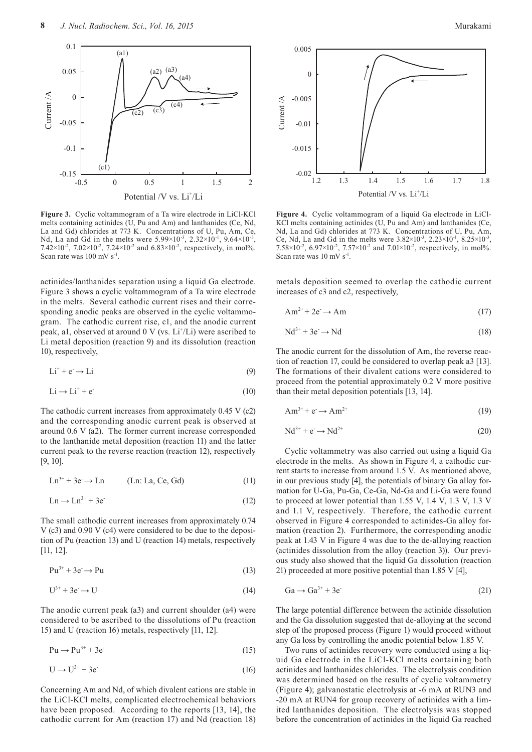

**Figure 3.** Cyclic voltammogram of a Ta wire electrode in LiCl-KCl melts containing actinides (U, Pu and Am) and lanthanides (Ce, Nd, La and Gd) chlorides at 773 K. Concentrations of U, Pu, Am, Ce, Nd, La and Gd in the melts were  $5.99 \times 10^{-3}$ ,  $2.32 \times 10^{-1}$ ,  $9.64 \times 10^{-3}$ 7.42×10<sup>-2</sup>, 7.02×10<sup>-2</sup>, 7.24×10<sup>-2</sup> and 6.83×10<sup>-2</sup>, respectively, in mol%. Scan rate was 100 mV s<sup>-1</sup>.

actinides/lanthanides separation using a liquid Ga electrode. Figure 3 shows a cyclic voltammogram of a Ta wire electrode in the melts. Several cathodic current rises and their corresponding anodic peaks are observed in the cyclic voltammogram. The cathodic current rise, c1, and the anodic current peak, al, observed at around 0 V (vs. Li<sup>+</sup>/Li) were ascribed to Li metal deposition (reaction 9) and its dissolution (reaction 10), respectively,

$$
Li^{+} + e^{-} \rightarrow Li
$$
 (9)

$$
Li \rightarrow Li^{+} + e^{-}
$$
 (10)

The cathodic current increases from approximately 0.45 V (c2) and the corresponding anodic current peak is observed at around 0.6 V (a2). The former current increase corresponded to the lanthanide metal deposition (reaction 11) and the latter current peak to the reverse reaction (reaction 12), respectively [9, 10].

$$
Ln3+ + 3e- \rightarrow Ln
$$
 (Ln: La, Ce, Gd) (11)

$$
Ln \rightarrow Ln^{3+} + 3e^{\cdot}
$$
 (12)

The small cathodic current increases from approximately 0.74 V (c3) and 0.90 V (c4) were considered to be due to the deposition of Pu (reaction 13) and U (reaction 14) metals, respectively [11, 12].

$$
Pu^{3+} + 3e^- \to Pu \tag{13}
$$

$$
U^{3+} + 3e \rightarrow U \tag{14}
$$

The anodic current peak (a3) and current shoulder (a4) were considered to be ascribed to the dissolutions of Pu (reaction 15) and U (reaction 16) metals, respectively [11, 12].

$$
Pu \rightarrow Pu^{3+} + 3e^{-}
$$
 (15)

$$
U \rightarrow U^{3+} + 3e^{-}
$$
 (16)

Concerning Am and Nd, of which divalent cations are stable in the LiCl-KCl melts, complicated electrochemical behaviors have been proposed. According to the reports [13, 14], the cathodic current for Am (reaction 17) and Nd (reaction 18)



**Figure 4.** Cyclic voltammogram of a liquid Ga electrode in LiCl-KCl melts containing actinides (U, Pu and Am) and lanthanides (Ce, Nd, La and Gd) chlorides at 773 K. Concentrations of U, Pu, Am, Ce, Nd, La and Gd in the melts were  $3.82 \times 10^{-3}$ ,  $2.23 \times 10^{-1}$ ,  $8.25 \times 10^{-3}$ , 7.58×10<sup>-2</sup>, 6.97×10<sup>-2</sup>, 7.57×10<sup>-2</sup> and 7.01×10<sup>-2</sup>, respectively, in mol%. Scan rate was 10 mV s<sup>-1</sup>.

metals deposition seemed to overlap the cathodic current increases of c3 and c2, respectively,

$$
Am^{2+} + 2e \rightarrow Am \tag{17}
$$

$$
Nd^{3+} + 3e \rightarrow Nd \tag{18}
$$

The anodic current for the dissolution of Am, the reverse reaction of reaction 17, could be considered to overlap peak a3 [13]. The formations of their divalent cations were considered to proceed from the potential approximately 0.2 V more positive than their metal deposition potentials [13, 14].

$$
Am^{3+} + e \rightarrow Am^{2+} \tag{19}
$$

$$
Nd^{3+} + e^- \rightarrow Nd^{2+} \tag{20}
$$

Cyclic voltammetry was also carried out using a liquid Ga electrode in the melts. As shown in Figure 4, a cathodic current starts to increase from around 1.5 V. As mentioned above, in our previous study [4], the potentials of binary Ga alloy formation for U-Ga, Pu-Ga, Ce-Ga, Nd-Ga and Li-Ga were found to proceed at lower potential than 1.55 V, 1.4 V, 1.3 V, 1.3 V and 1.1 V, respectively. Therefore, the cathodic current observed in Figure 4 corresponded to actinides-Ga alloy formation (reaction 2). Furthermore, the corresponding anodic peak at 1.43 V in Figure 4 was due to the de-alloying reaction (actinides dissolution from the alloy (reaction 3)). Our previous study also showed that the liquid Ga dissolution (reaction 21) proceeded at more positive potential than 1.85 V [4],

$$
Ga \rightarrow Ga^{3+} + 3e^{-} \tag{21}
$$

The large potential difference between the actinide dissolution and the Ga dissolution suggested that de-alloying at the second step of the proposed process (Figure 1) would proceed without any Ga loss by controlling the anodic potential below 1.85 V.

Two runs of actinides recovery were conducted using a liquid Ga electrode in the LiCl-KCl melts containing both actinides and lanthanides chlorides. The electrolysis condition was determined based on the results of cyclic voltammetry (Figure 4); galvanostatic electrolysis at -6 mA at RUN3 and -20 mA at RUN4 for group recovery of actinides with a limited lanthanides deposition. The electrolysis was stopped before the concentration of actinides in the liquid Ga reached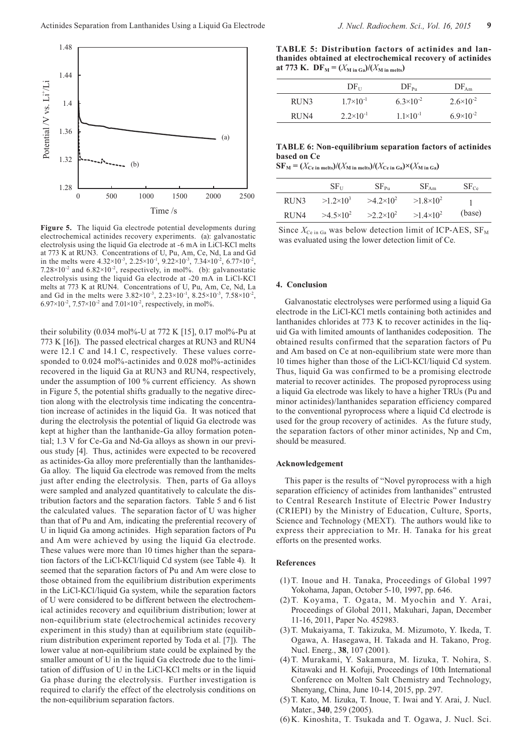

**Figure 5.** The liquid Ga electrode potential developments during electrochemical actinides recovery experiments. (a): galvanostatic electrolysis using the liquid Ga electrode at -6 mA in LiCl-KCl melts at 773 K at RUN3. Concentrations of U, Pu, Am, Ce, Nd, La and Gd in the melts were  $4.32 \times 10^{-3}$ ,  $2.25 \times 10^{-1}$ ,  $9.22 \times 10^{-3}$ ,  $7.34 \times 10^{-2}$ ,  $6.77 \times 10^{-2}$ , 7.28 $\times$ 10<sup>-2</sup> and 6.82 $\times$ 10<sup>-2</sup>, respectively, in mol%. (b): galvanostatic electrolysis using the liquid Ga electrode at -20 mA in LiCl-KCl melts at 773 K at RUN4. Concentrations of U, Pu, Am, Ce, Nd, La and Gd in the melts were  $3.82 \times 10^{-3}$ ,  $2.23 \times 10^{-1}$ ,  $8.25 \times 10^{-3}$ ,  $7.58 \times 10^{-2}$ , 6.97×10<sup>-2</sup>, 7.57×10<sup>-2</sup> and 7.01×10<sup>-2</sup>, respectively, in mol%.

their solubility (0.034 mol%-U at 772 K [15], 0.17 mol%-Pu at 773 K [16]). The passed electrical charges at RUN3 and RUN4 were 12.1 C and 14.1 C, respectively. These values corresponded to 0.024 mol%-actinides and 0.028 mol%-actinides recovered in the liquid Ga at RUN3 and RUN4, respectively, under the assumption of 100 % current efficiency. As shown in Figure 5, the potential shifts gradually to the negative direction along with the electrolysis time indicating the concentration increase of actinides in the liquid Ga. It was noticed that during the electrolysis the potential of liquid Ga electrode was kept at higher than the lanthanide-Ga alloy formation potential; 1.3 V for Ce-Ga and Nd-Ga alloys as shown in our previous study [4]. Thus, actinides were expected to be recovered as actinides-Ga alloy more preferentially than the lanthanides-Ga alloy. The liquid Ga electrode was removed from the melts just after ending the electrolysis. Then, parts of Ga alloys were sampled and analyzed quantitatively to calculate the distribution factors and the separation factors. Table 5 and 6 list the calculated values. The separation factor of U was higher than that of Pu and Am, indicating the preferential recovery of U in liquid Ga among actinides. High separation factors of Pu and Am were achieved by using the liquid Ga electrode. These values were more than 10 times higher than the separation factors of the LiCl-KCl/liquid Cd system (see Table 4). It seemed that the separation factors of Pu and Am were close to those obtained from the equilibrium distribution experiments in the LiCl-KCl/liquid Ga system, while the separation factors of U were considered to be different between the electrochemical actinides recovery and equilibrium distribution; lower at non-equilibrium state (electrochemical actinides recovery experiment in this study) than at equilibrium state (equilibrium distribution experiment reported by Toda et al. [7]). The lower value at non-equilibrium state could be explained by the smaller amount of U in the liquid Ga electrode due to the limitation of diffusion of U in the LiCl-KCl melts or in the liquid Ga phase during the electrolysis. Further investigation is required to clarify the effect of the electrolysis conditions on the non-equilibrium separation factors.

**TABLE 5: Distribution factors of actinides and lanthanides obtained at electrochemical recovery of actinides**  at 773 K.  $DF_M = (X_{M \text{ in } Ga})/(X_{M \text{ in } melts})$ 

|      | $DF_{U}$             | $DF_{Pu}$          | $DF_{Am}$            |
|------|----------------------|--------------------|----------------------|
| RUN3 | $1.7\times10^{-1}$   | $6.3\times10^{-2}$ | $2.6 \times 10^{-2}$ |
| RUN4 | $2.2 \times 10^{-1}$ | $1.1\times10^{-1}$ | $6.9\times10^{-2}$   |

## **TABLE 6: Non-equilibrium separation factors of actinides based on Ce**

 $\mathbf{S}\mathbf{F}_{\mathbf{M}} = (X_{\mathbf{Ce\text{ in} \text{ melts}}})/(X_{\mathbf{M} \text{ in} \text{ melts}})/(X_{\mathbf{Ce\text{ in} \text{ Ga}}}) \times (X_{\mathbf{M} \text{ in} \text{ Ga}})$ 

|      | $SF_{11}$          | $SF_{PII}$       | $SF_{\rm Am}$      | $SF_{Ce}$ |
|------|--------------------|------------------|--------------------|-----------|
| RUN3 | $>1.2\times10^{3}$ | $>4.2\times10^2$ | $>1.8\times10^{2}$ |           |
| RUN4 | $>4.5\times10^{2}$ | $>2.2\times10^2$ | $>1.4\times10^2$   | (base)    |

Since  $X_{\text{Ce in Ga}}$  was below detection limit of ICP-AES,  $SF_{\text{M}}$ was evaluated using the lower detection limit of Ce.

#### **4. Conclusion**

Galvanostatic electrolyses were performed using a liquid Ga electrode in the LiCl-KCl metls containing both actinides and lanthanides chlorides at 773 K to recover actinides in the liquid Ga with limited amounts of lanthanides codeposition. The obtained results confirmed that the separation factors of Pu and Am based on Ce at non-equilibrium state were more than 10 times higher than those of the LiCl-KCl/liquid Cd system. Thus, liquid Ga was confirmed to be a promising electrode material to recover actinides. The proposed pyroprocess using a liquid Ga electrode was likely to have a higher TRUs (Pu and minor actinides)/lanthanides separation efficiency compared to the conventional pyroprocess where a liquid Cd electrode is used for the group recovery of actinides. As the future study, the separation factors of other minor actinides, Np and Cm, should be measured.

## **Acknowledgement**

This paper is the results of "Novel pyroprocess with a high separation efficiency of actinides from lanthanides" entrusted to Central Research Institute of Electric Power Industry (CRIEPI) by the Ministry of Education, Culture, Sports, Science and Technology (MEXT). The authors would like to express their appreciation to Mr. H. Tanaka for his great efforts on the presented works.

## **References**

- (1) T. Inoue and H. Tanaka, Proceedings of Global 1997 Yokohama, Japan, October 5-10, 1997, pp. 646.
- (2) T. Koyama, T. Ogata, M. Myochin and Y. Arai, Proceedings of Global 2011, Makuhari, Japan, December 11-16, 2011, Paper No. 452983.
- (3) T. Mukaiyama, T. Takizuka, M. Mizumoto, Y. Ikeda, T. Ogawa, A. Hasegawa, H. Takada and H. Takano, Prog. Nucl. Energ., **38**, 107 (2001).
- (4) T. Murakami, Y. Sakamura, M. Iizuka, T. Nohira, S. Kitawaki and H. Kofuji, Proceedings of 10th International Conference on Molten Salt Chemistry and Technology, Shenyang, China, June 10-14, 2015, pp. 297.
- (5) T. Kato, M. Iizuka, T. Inoue, T. Iwai and Y. Arai, J. Nucl. Mater., **340**, 259 (2005).
- (6) K. Kinoshita, T. Tsukada and T. Ogawa, J. Nucl. Sci.